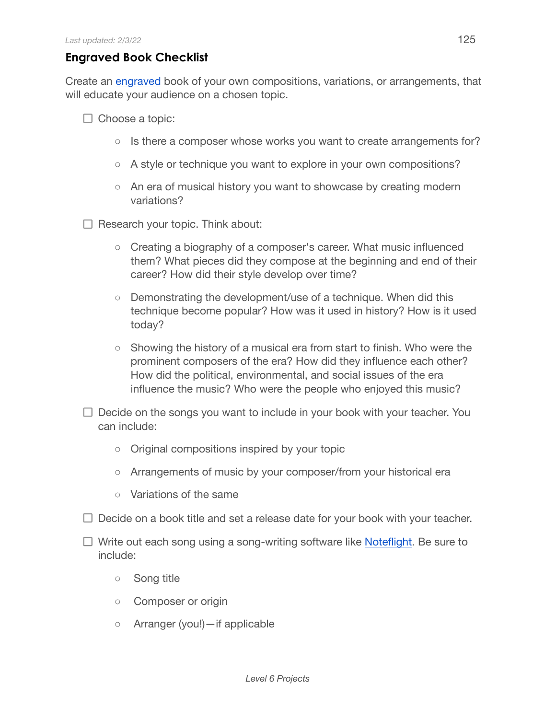## **Engraved Book Checklist**

Create an [engraved](https://en.wikipedia.org/wiki/Music_engraving) book of your own compositions, variations, or arrangements, that will educate your audience on a chosen topic.

- $\Box$  Choose a topic:
	- $\circ$  Is there a composer whose works you want to create arrangements for?
	- A style or technique you want to explore in your own compositions?
	- An era of musical history you want to showcase by creating modern variations?
- $\Box$  Research your topic. Think about:
	- Creating a biography of a composer's career. What music influenced them? What pieces did they compose at the beginning and end of their career? How did their style develop over time?
	- Demonstrating the development/use of a technique. When did this technique become popular? How was it used in history? How is it used today?
	- Showing the history of a musical era from start to finish. Who were the prominent composers of the era? How did they influence each other? How did the political, environmental, and social issues of the era influence the music? Who were the people who enjoyed this music?
- $\Box$  Decide on the songs you want to include in your book with your teacher. You can include:
	- Original compositions inspired by your topic
	- Arrangements of music by your composer/from your historical era
	- Variations of the same
- $\Box$  Decide on a book title and set a release date for your book with your teacher.
- $\Box$  Write out each song using a song-writing software like [Noteflight.](https://www.noteflight.com/) Be sure to include:
	- Song title
	- Composer or origin
	- Arranger (you!)—if applicable